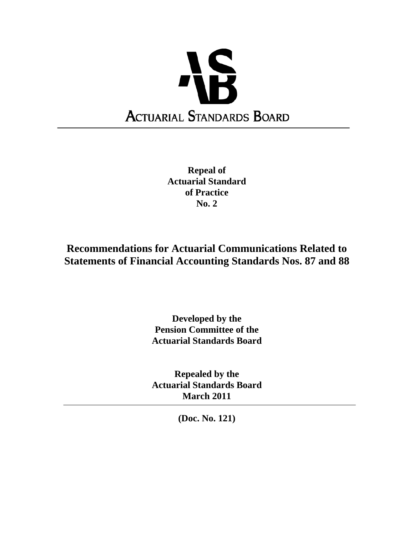

**Repeal of Actuarial Standard of Practice No. 2** 

# **Recommendations for Actuarial Communications Related to Statements of Financial Accounting Standards Nos. 87 and 88**

# **Developed by the Pension Committee of the Actuarial Standards Board**

**Repealed by the Actuarial Standards Board March 2011** 

**(Doc. No. 121)**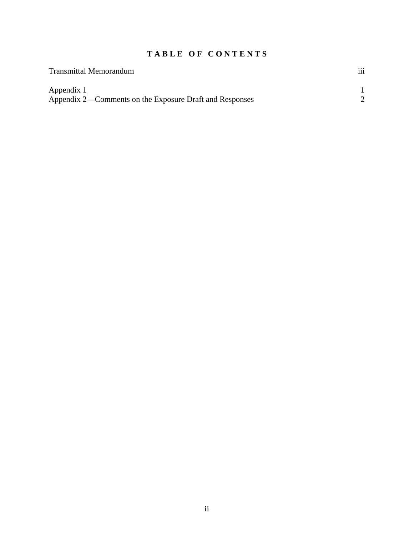# **T A B L E O F C O N T E N T S**

| <b>Transmittal Memorandum</b>                           | $\cdots$<br>111 |
|---------------------------------------------------------|-----------------|
| Appendix 1                                              |                 |
| Appendix 2—Comments on the Exposure Draft and Responses |                 |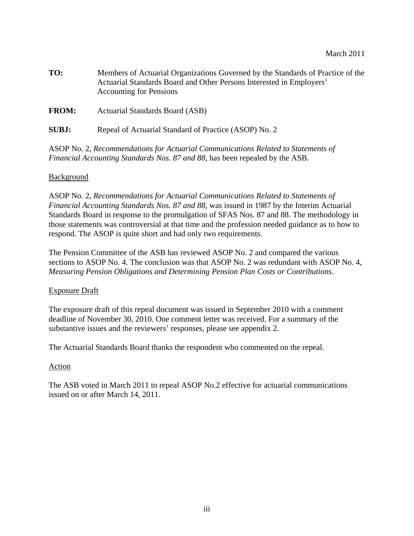| TO:          | Members of Actuarial Organizations Governed by the Standards of Practice of the<br>Actuarial Standards Board and Other Persons Interested in Employers'<br><b>Accounting for Pensions</b> |  |
|--------------|-------------------------------------------------------------------------------------------------------------------------------------------------------------------------------------------|--|
| <b>FROM:</b> | Actuarial Standards Board (ASB)                                                                                                                                                           |  |

**SUBJ:** Repeal of Actuarial Standard of Practice (ASOP) No. 2

ASOP No. 2, *Recommendations for Actuarial Communications Related to Statements of Financial Accounting Standards Nos. 87 and 88,* has been repealed by the ASB.

## **Background**

ASOP No. 2, *Recommendations for Actuarial Communications Related to Statements of Financial Accounting Standards Nos. 87 and 88*, was issued in 1987 by the Interim Actuarial Standards Board in response to the promulgation of SFAS Nos. 87 and 88. The methodology in those statements was controversial at that time and the profession needed guidance as to how to respond. The ASOP is quite short and had only two requirements.

The Pension Committee of the ASB has reviewed ASOP No. 2 and compared the various sections to ASOP No. 4. The conclusion was that ASOP No. 2 was redundant with ASOP No. 4, *Measuring Pension Obligations and Determining Pension Plan Costs or Contributions*.

#### Exposure Draft

The exposure draft of this repeal document was issued in September 2010 with a comment deadline of November 30, 2010. One comment letter was received. For a summary of the substantive issues and the reviewers' responses, please see appendix 2.

The Actuarial Standards Board thanks the respondent who commented on the repeal.

## Action

The ASB voted in March 2011 to repeal ASOP No.2 effective for actuarial communications issued on or after March 14, 2011.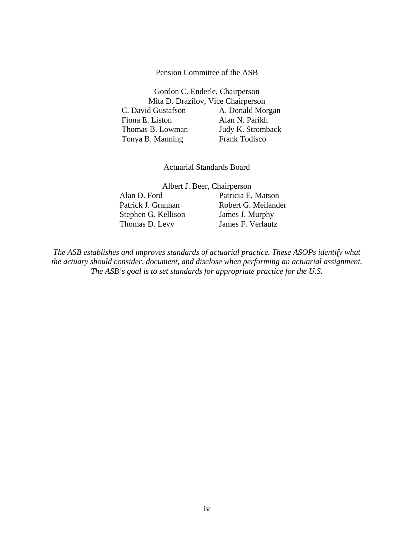#### Pension Committee of the ASB

Gordon C. Enderle, Chairperson Mita D. Drazilov, Vice Chairperson C. David Gustafson A. Donald Morgan Fiona E. Liston Alan N. Parikh Thomas B. Lowman Judy K. Stromback Tonya B. Manning Frank Todisco

Actuarial Standards Board

Albert J. Beer, Chairperson

Stephen G. Kellison James J. Murphy Thomas D. Levy James F. Verlautz

 Alan D. Ford Patricia E. Matson Patrick J. Grannan Robert G. Meilander

*The ASB establishes and improves standards of actuarial practice. These ASOPs identify what the actuary should consider, document, and disclose when performing an actuarial assignment. The ASB's goal is to set standards for appropriate practice for the U.S.*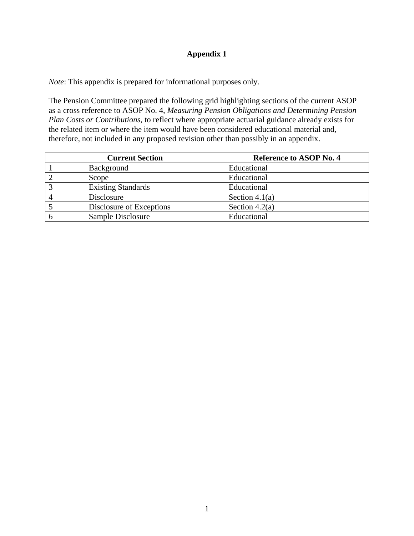## **Appendix 1**

*Note*: This appendix is prepared for informational purposes only.

The Pension Committee prepared the following grid highlighting sections of the current ASOP as a cross reference to ASOP No. 4, *Measuring Pension Obligations and Determining Pension Plan Costs or Contributions*, to reflect where appropriate actuarial guidance already exists for the related item or where the item would have been considered educational material and, therefore, not included in any proposed revision other than possibly in an appendix.

| <b>Current Section</b>    | <b>Reference to ASOP No. 4</b> |
|---------------------------|--------------------------------|
| Background                | Educational                    |
| Scope                     | Educational                    |
| <b>Existing Standards</b> | Educational                    |
| Disclosure                | Section 4.1(a)                 |
| Disclosure of Exceptions  | Section $4.2(a)$               |
| Sample Disclosure         | Educational                    |